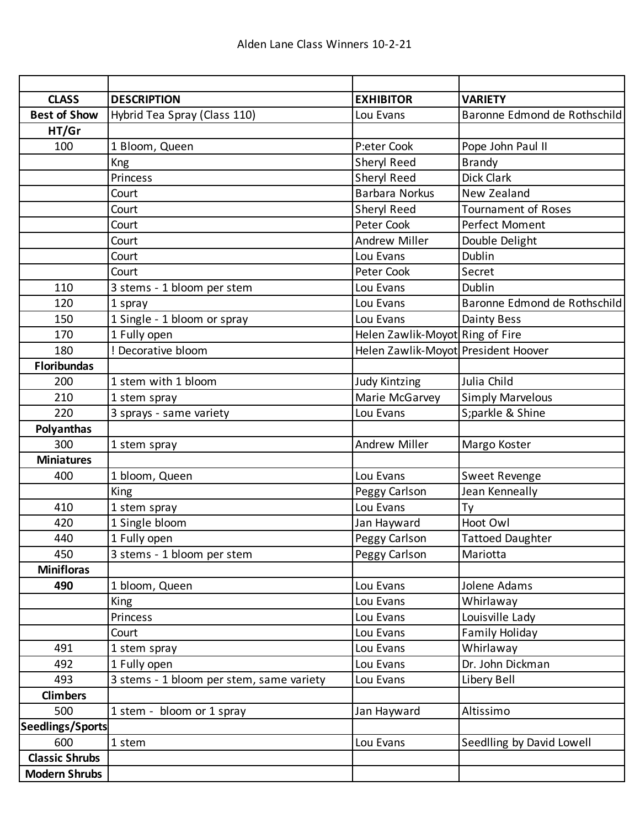| <b>CLASS</b>            | <b>DESCRIPTION</b>                       | <b>EXHIBITOR</b>                    | <b>VARIETY</b>               |
|-------------------------|------------------------------------------|-------------------------------------|------------------------------|
| <b>Best of Show</b>     | Hybrid Tea Spray (Class 110)             | Lou Evans                           | Baronne Edmond de Rothschild |
| HT/Gr                   |                                          |                                     |                              |
| 100                     | 1 Bloom, Queen                           | P:eter Cook                         | Pope John Paul II            |
|                         | <b>Kng</b>                               | Sheryl Reed                         | <b>Brandy</b>                |
|                         | Princess                                 | Sheryl Reed                         | Dick Clark                   |
|                         | Court                                    | <b>Barbara Norkus</b>               | New Zealand                  |
|                         | Court                                    | Sheryl Reed                         | <b>Tournament of Roses</b>   |
|                         | Court                                    | Peter Cook                          | Perfect Moment               |
|                         | Court                                    | <b>Andrew Miller</b>                | Double Delight               |
|                         | Court                                    | Lou Evans                           | Dublin                       |
|                         | Court                                    | Peter Cook                          | Secret                       |
| 110                     | 3 stems - 1 bloom per stem               | Lou Evans                           | Dublin                       |
| 120                     | 1 spray                                  | Lou Evans                           | Baronne Edmond de Rothschild |
| 150                     | 1 Single - 1 bloom or spray              | Lou Evans                           | Dainty Bess                  |
| 170                     | 1 Fully open                             | Helen Zawlik-Moyot Ring of Fire     |                              |
| 180                     | ! Decorative bloom                       | Helen Zawlik-Moyot President Hoover |                              |
| <b>Floribundas</b>      |                                          |                                     |                              |
| 200                     | 1 stem with 1 bloom                      | <b>Judy Kintzing</b>                | Julia Child                  |
| 210                     | 1 stem spray                             | Marie McGarvey                      | <b>Simply Marvelous</b>      |
| 220                     | 3 sprays - same variety                  | Lou Evans                           | S;parkle & Shine             |
| Polyanthas              |                                          |                                     |                              |
| 300                     | 1 stem spray                             | <b>Andrew Miller</b>                | Margo Koster                 |
| <b>Miniatures</b>       |                                          |                                     |                              |
| 400                     | 1 bloom, Queen                           | Lou Evans                           | Sweet Revenge                |
|                         | King                                     | Peggy Carlson                       | Jean Kenneally               |
| 410                     | 1 stem spray                             | Lou Evans                           | Ty                           |
| 420                     | 1 Single bloom                           | Jan Hayward                         | Hoot Owl                     |
| 440                     | 1 Fully open                             | Peggy Carlson                       | <b>Tattoed Daughter</b>      |
| 450                     | 3 stems - 1 bloom per stem               | Peggy Carlson                       | Mariotta                     |
| <b>Minifloras</b>       |                                          |                                     |                              |
| 490                     | 1 bloom, Queen                           | Lou Evans                           | Jolene Adams                 |
|                         | King                                     | Lou Evans                           | Whirlaway                    |
|                         | Princess                                 | Lou Evans                           | Louisville Lady              |
|                         | Court                                    | Lou Evans                           | Family Holiday               |
| 491                     | 1 stem spray                             | Lou Evans                           | Whirlaway                    |
| 492                     | 1 Fully open                             | Lou Evans                           | Dr. John Dickman             |
| 493                     | 3 stems - 1 bloom per stem, same variety | Lou Evans                           | Libery Bell                  |
| <b>Climbers</b>         |                                          |                                     |                              |
| 500                     | 1 stem - bloom or 1 spray                | Jan Hayward                         | Altissimo                    |
| <b>Seedlings/Sports</b> |                                          |                                     |                              |
| 600                     | 1 stem                                   | Lou Evans                           | Seedlling by David Lowell    |
| <b>Classic Shrubs</b>   |                                          |                                     |                              |
| <b>Modern Shrubs</b>    |                                          |                                     |                              |